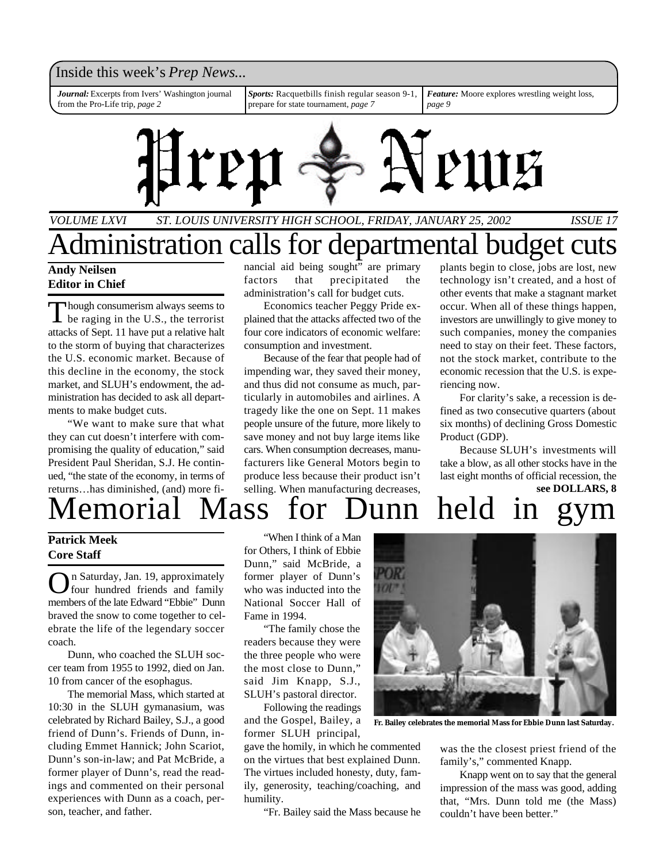### Inside this week's *Prep News*...

*Journal:* Excerpts from Ivers' Washington journal from the Pro-Life trip, *page 2*

*Sports:* Racquetbills finish regular season 9-1, prepare for state tournament, *page 7*

*Feature:* Moore explores wrestling weight loss, *page 9*



*VOLUME LXVI ST. LOUIS UNIVERSITY HIGH SCHOOL, FRIDAY, JANUARY 25, 2002 ISSUE 17*

### **Andy Neilsen Editor in Chief** Administration calls for departmental budget cuts

Though consumerism always seems to<br>be raging in the U.S., the terrorist hough consumerism always seems to attacks of Sept. 11 have put a relative halt to the storm of buying that characterizes the U.S. economic market. Because of this decline in the economy, the stock market, and SLUH's endowment, the administration has decided to ask all departments to make budget cuts.

"We want to make sure that what they can cut doesn't interfere with compromising the quality of education," said President Paul Sheridan, S.J. He continued, "the state of the economy, in terms of returns…has diminished, (and) more financial aid being sought" are primary factors that precipitated the administration's call for budget cuts.

Economics teacher Peggy Pride explained that the attacks affected two of the four core indicators of economic welfare: consumption and investment.

Because of the fear that people had of impending war, they saved their money, and thus did not consume as much, particularly in automobiles and airlines. A tragedy like the one on Sept. 11 makes people unsure of the future, more likely to save money and not buy large items like cars. When consumption decreases, manufacturers like General Motors begin to produce less because their product isn't selling. When manufacturing decreases, plants begin to close, jobs are lost, new technology isn't created, and a host of other events that make a stagnant market occur. When all of these things happen, investors are unwillingly to give money to such companies, money the companies need to stay on their feet. These factors, not the stock market, contribute to the economic recession that the U.S. is experiencing now.

For clarity's sake, a recession is defined as two consecutive quarters (about six months) of declining Gross Domestic Product (GDP).

Because SLUH's investments will take a blow, as all other stocks have in the last eight months of official recession, the **see DOLLARS, 8**

## emorial Mass for Dunn held

#### **Patrick Meek Core Staff**

**O**n Saturday, Jan. 19, approximately<br>members of the late Edward "Ebbie" Dunn n Saturday, Jan. 19, approximately four hundred friends and family braved the snow to come together to celebrate the life of the legendary soccer coach.

Dunn, who coached the SLUH soccer team from 1955 to 1992, died on Jan. 10 from cancer of the esophagus.

The memorial Mass, which started at 10:30 in the SLUH gymanasium, was celebrated by Richard Bailey, S.J., a good friend of Dunn's. Friends of Dunn, including Emmet Hannick; John Scariot, Dunn's son-in-law; and Pat McBride, a former player of Dunn's, read the readings and commented on their personal experiences with Dunn as a coach, person, teacher, and father.

"When I think of a Man for Others, I think of Ebbie Dunn," said McBride, a former player of Dunn's who was inducted into the National Soccer Hall of Fame in 1994.

"The family chose the readers because they were the three people who were the most close to Dunn," said Jim Knapp, S.J., SLUH's pastoral director.

Following the readings and the Gospel, Bailey, a former SLUH principal,

gave the homily, in which he commented on the virtues that best explained Dunn. The virtues included honesty, duty, family, generosity, teaching/coaching, and humility.

"Fr. Bailey said the Mass because he



**Fr. Bailey celebrates the memorial Mass for Ebbie Dunn last Saturday.**

was the the closest priest friend of the family's," commented Knapp.

Knapp went on to say that the general impression of the mass was good, adding that, "Mrs. Dunn told me (the Mass) couldn't have been better."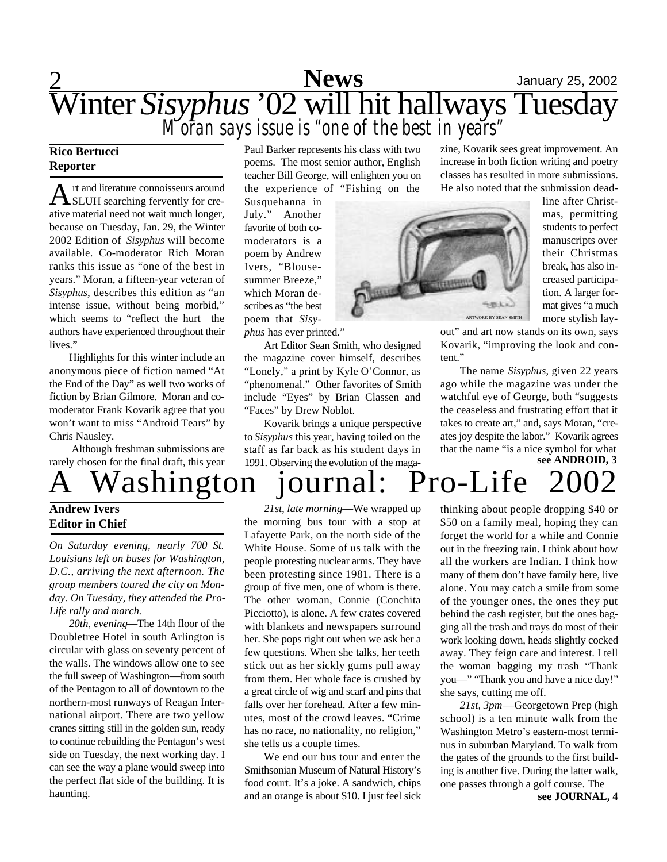## 2 **Sports News** January 25, 2002 Winter *Sisyphus* '02 will hit hallways Tuesday *Moran says issue is "one of the best in years"*

#### **Rico Bertucci Reporter**

A rt and literature connoisseurs around<br>SLUH searching fervently for crert and literature connoisseurs around ative material need not wait much longer, because on Tuesday, Jan. 29, the Winter 2002 Edition of *Sisyphus* will become available. Co-moderator Rich Moran ranks this issue as "one of the best in years." Moran, a fifteen-year veteran of *Sisyphus*, describes this edition as "an intense issue, without being morbid," which seems to "reflect the hurt the authors have experienced throughout their lives."

Highlights for this winter include an anonymous piece of fiction named "At the End of the Day" as well two works of fiction by Brian Gilmore. Moran and comoderator Frank Kovarik agree that you won't want to miss "Android Tears" by Chris Nausley.

 Although freshman submissions are rarely chosen for the final draft, this year

#### **Andrew Ivers Editor in Chief**

*On Saturday evening, nearly 700 St. Louisians left on buses for Washington, D.C., arriving the next afternoon. The group members toured the city on Monday. On Tuesday, they attended the Pro-Life rally and march.*

*20th, evening*—The 14th floor of the Doubletree Hotel in south Arlington is circular with glass on seventy percent of the walls. The windows allow one to see the full sweep of Washington—from south of the Pentagon to all of downtown to the northern-most runways of Reagan International airport. There are two yellow cranes sitting still in the golden sun, ready to continue rebuilding the Pentagon's west side on Tuesday, the next working day. I can see the way a plane would sweep into the perfect flat side of the building. It is haunting.

Paul Barker represents his class with two poems. The most senior author, English teacher Bill George, will enlighten you on the experience of "Fishing on the

Susquehanna in July." Another favorite of both comoderators is a poem by Andrew Ivers, "Blousesummer Breeze," which Moran describes as "the best poem that *Sisyphus* has ever printed."

Art Editor Sean Smith, who designed the magazine cover himself, describes "Lonely," a print by Kyle O'Connor, as "phenomenal." Other favorites of Smith include "Eyes" by Brian Classen and "Faces" by Drew Noblot.

Kovarik brings a unique perspective to *Sisyphus* this year, having toiled on the staff as far back as his student days in 1991. Observing the evolution of the magazine, Kovarik sees great improvement. An increase in both fiction writing and poetry classes has resulted in more submissions. He also noted that the submission dead-



line after Christmas, permitting students to perfect manuscripts over their Christmas break, has also increased participation. A larger format gives "a much more stylish lay-

out" and art now stands on its own, says Kovarik, "improving the look and content."

**see ANDROID, 3** The name *Sisyphus*, given 22 years ago while the magazine was under the watchful eye of George, both "suggests the ceaseless and frustrating effort that it takes to create art," and, says Moran, "creates joy despite the labor." Kovarik agrees that the name "is a nice symbol for what

/ashington journal: Pro-Life

*21st, late morning*—We wrapped up the morning bus tour with a stop at Lafayette Park, on the north side of the White House. Some of us talk with the people protesting nuclear arms. They have been protesting since 1981. There is a group of five men, one of whom is there. The other woman, Connie (Conchita Picciotto), is alone. A few crates covered with blankets and newspapers surround her. She pops right out when we ask her a few questions. When she talks, her teeth stick out as her sickly gums pull away from them. Her whole face is crushed by a great circle of wig and scarf and pins that falls over her forehead. After a few minutes, most of the crowd leaves. "Crime has no race, no nationality, no religion," she tells us a couple times.

We end our bus tour and enter the Smithsonian Museum of Natural History's food court. It's a joke. A sandwich, chips and an orange is about \$10. I just feel sick thinking about people dropping \$40 or \$50 on a family meal, hoping they can forget the world for a while and Connie out in the freezing rain. I think about how all the workers are Indian. I think how many of them don't have family here, live alone. You may catch a smile from some of the younger ones, the ones they put behind the cash register, but the ones bagging all the trash and trays do most of their work looking down, heads slightly cocked away. They feign care and interest. I tell the woman bagging my trash "Thank you—" "Thank you and have a nice day!" she says, cutting me off.

*21st, 3pm*—Georgetown Prep (high school) is a ten minute walk from the Washington Metro's eastern-most terminus in suburban Maryland. To walk from the gates of the grounds to the first building is another five. During the latter walk, one passes through a golf course. The

**see JOURNAL, 4**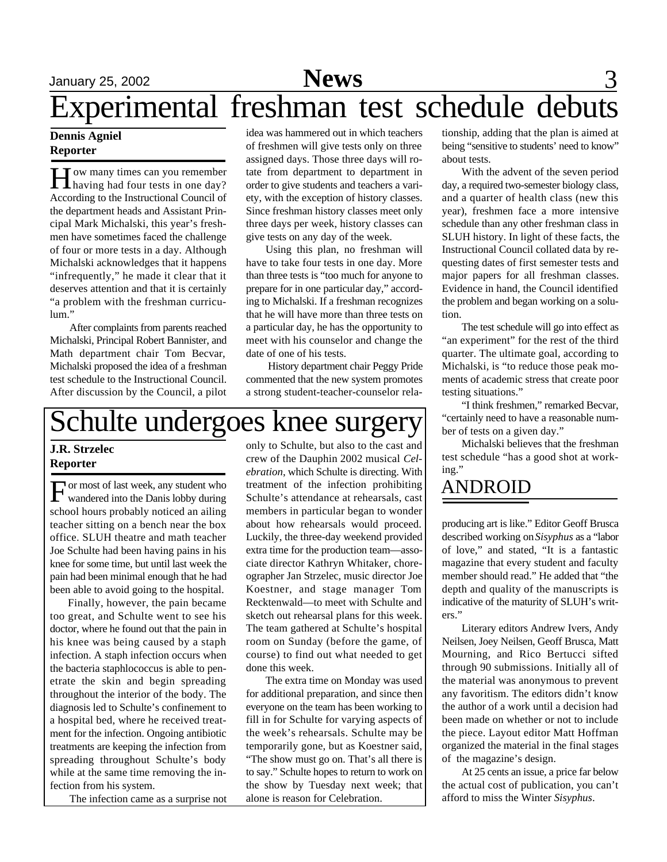## January 25, 2002 **News** 3 Experimental freshman test schedule debuts

#### **Dennis Agniel Reporter**

How many times can you remember<br>having had four tests in one day? ow many times can you remember According to the Instructional Council of the department heads and Assistant Principal Mark Michalski, this year's freshmen have sometimes faced the challenge of four or more tests in a day. Although Michalski acknowledges that it happens "infrequently," he made it clear that it deserves attention and that it is certainly "a problem with the freshman curriculum."

After complaints from parents reached Michalski, Principal Robert Bannister, and Math department chair Tom Becvar, Michalski proposed the idea of a freshman test schedule to the Instructional Council. After discussion by the Council, a pilot

idea was hammered out in which teachers of freshmen will give tests only on three assigned days. Those three days will rotate from department to department in order to give students and teachers a variety, with the exception of history classes. Since freshman history classes meet only three days per week, history classes can give tests on any day of the week.

Using this plan, no freshman will have to take four tests in one day. More than three tests is "too much for anyone to prepare for in one particular day," according to Michalski. If a freshman recognizes that he will have more than three tests on a particular day, he has the opportunity to meet with his counselor and change the date of one of his tests.

 History department chair Peggy Pride commented that the new system promotes a strong student-teacher-counselor rela-

## Schulte undergoes knee surgery

### **J.R. Strzelec Reporter**

For most of last week, any student who<br>wandered into the Danis lobby during or most of last week, any student who school hours probably noticed an ailing teacher sitting on a bench near the box office. SLUH theatre and math teacher Joe Schulte had been having pains in his knee for some time, but until last week the pain had been minimal enough that he had been able to avoid going to the hospital.

Finally, however, the pain became too great, and Schulte went to see his doctor, where he found out that the pain in his knee was being caused by a staph infection. A staph infection occurs when the bacteria staphlococcus is able to penetrate the skin and begin spreading throughout the interior of the body. The diagnosis led to Schulte's confinement to a hospital bed, where he received treatment for the infection. Ongoing antibiotic treatments are keeping the infection from spreading throughout Schulte's body while at the same time removing the infection from his system.

The infection came as a surprise not

only to Schulte, but also to the cast and crew of the Dauphin 2002 musical *Celebration*, which Schulte is directing. With treatment of the infection prohibiting Schulte's attendance at rehearsals, cast members in particular began to wonder about how rehearsals would proceed. Luckily, the three-day weekend provided extra time for the production team—associate director Kathryn Whitaker, choreographer Jan Strzelec, music director Joe Koestner, and stage manager Tom Recktenwald—to meet with Schulte and sketch out rehearsal plans for this week. The team gathered at Schulte's hospital room on Sunday (before the game, of course) to find out what needed to get done this week.

The extra time on Monday was used for additional preparation, and since then everyone on the team has been working to fill in for Schulte for varying aspects of the week's rehearsals. Schulte may be temporarily gone, but as Koestner said, "The show must go on. That's all there is to say." Schulte hopes to return to work on the show by Tuesday next week; that alone is reason for Celebration.

tionship, adding that the plan is aimed at being "sensitive to students' need to know" about tests.

With the advent of the seven period day, a required two-semester biology class, and a quarter of health class (new this year), freshmen face a more intensive schedule than any other freshman class in SLUH history. In light of these facts, the Instructional Council collated data by requesting dates of first semester tests and major papers for all freshman classes. Evidence in hand, the Council identified the problem and began working on a solution.

The test schedule will go into effect as "an experiment" for the rest of the third quarter. The ultimate goal, according to Michalski, is "to reduce those peak moments of academic stress that create poor testing situations."

"I think freshmen," remarked Becvar, "certainly need to have a reasonable number of tests on a given day."

Michalski believes that the freshman test schedule "has a good shot at working."

### ANDROID

producing art is like." Editor Geoff Brusca described working on *Sisyphus* as a "labor of love," and stated, "It is a fantastic magazine that every student and faculty member should read." He added that "the depth and quality of the manuscripts is indicative of the maturity of SLUH's writers."

Literary editors Andrew Ivers, Andy Neilsen, Joey Neilsen, Geoff Brusca, Matt Mourning, and Rico Bertucci sifted through 90 submissions. Initially all of the material was anonymous to prevent any favoritism. The editors didn't know the author of a work until a decision had been made on whether or not to include the piece. Layout editor Matt Hoffman organized the material in the final stages of the magazine's design.

At 25 cents an issue, a price far below the actual cost of publication, you can't afford to miss the Winter *Sisyphus*.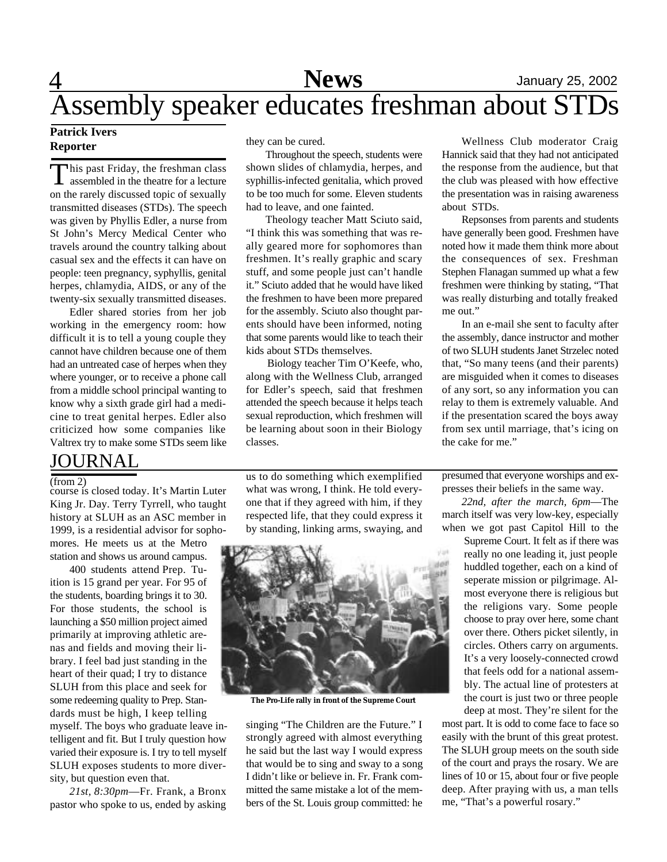#### **Patrick Ivers Reporter**

This past Friday, the freshman class<br>assembled in the theatre for a lecture his past Friday, the freshman class on the rarely discussed topic of sexually transmitted diseases (STDs). The speech was given by Phyllis Edler, a nurse from St John's Mercy Medical Center who travels around the country talking about casual sex and the effects it can have on people: teen pregnancy, syphyllis, genital herpes, chlamydia, AIDS, or any of the twenty-six sexually transmitted diseases.

Edler shared stories from her job working in the emergency room: how difficult it is to tell a young couple they cannot have children because one of them had an untreated case of herpes when they where younger, or to receive a phone call from a middle school principal wanting to know why a sixth grade girl had a medicine to treat genital herpes. Edler also criticized how some companies like Valtrex try to make some STDs seem like

### JOURNAL

(from 2)

course is closed today. It's Martin Luter King Jr. Day. Terry Tyrrell, who taught history at SLUH as an ASC member in 1999, is a residential advisor for sophomores. He meets us at the Metro

station and shows us around campus.

400 students attend Prep. Tuition is 15 grand per year. For 95 of the students, boarding brings it to 30. For those students, the school is launching a \$50 million project aimed primarily at improving athletic arenas and fields and moving their library. I feel bad just standing in the heart of their quad; I try to distance SLUH from this place and seek for some redeeming quality to Prep. Standards must be high, I keep telling myself. The boys who graduate leave intelligent and fit. But I truly question how varied their exposure is. I try to tell myself SLUH exposes students to more diversity, but question even that.

*21st, 8:30pm*—Fr. Frank, a Bronx pastor who spoke to us, ended by asking they can be cured.

Throughout the speech, students were shown slides of chlamydia, herpes, and syphillis-infected genitalia, which proved to be too much for some. Eleven students had to leave, and one fainted.

Theology teacher Matt Sciuto said, "I think this was something that was really geared more for sophomores than freshmen. It's really graphic and scary stuff, and some people just can't handle it." Sciuto added that he would have liked the freshmen to have been more prepared for the assembly. Sciuto also thought parents should have been informed, noting that some parents would like to teach their kids about STDs themselves.

 Biology teacher Tim O'Keefe, who, along with the Wellness Club, arranged for Edler's speech, said that freshmen attended the speech because it helps teach sexual reproduction, which freshmen will be learning about soon in their Biology classes.

us to do something which exemplified what was wrong, I think. He told everyone that if they agreed with him, if they respected life, that they could express it by standing, linking arms, swaying, and



**The Pro-Life rally in front of the Supreme Court**

singing "The Children are the Future." I strongly agreed with almost everything he said but the last way I would express that would be to sing and sway to a song I didn't like or believe in. Fr. Frank committed the same mistake a lot of the members of the St. Louis group committed: he

Wellness Club moderator Craig Hannick said that they had not anticipated the response from the audience, but that the club was pleased with how effective the presentation was in raising awareness about STDs.

Repsonses from parents and students have generally been good. Freshmen have noted how it made them think more about the consequences of sex. Freshman Stephen Flanagan summed up what a few freshmen were thinking by stating, "That was really disturbing and totally freaked me out."

In an e-mail she sent to faculty after the assembly, dance instructor and mother of two SLUH students Janet Strzelec noted that, "So many teens (and their parents) are misguided when it comes to diseases of any sort, so any information you can relay to them is extremely valuable. And if the presentation scared the boys away from sex until marriage, that's icing on the cake for me."

presumed that everyone worships and expresses their beliefs in the same way.

*22nd, after the march, 6pm*—The march itself was very low-key, especially when we got past Capitol Hill to the

> Supreme Court. It felt as if there was really no one leading it, just people huddled together, each on a kind of seperate mission or pilgrimage. Almost everyone there is religious but the religions vary. Some people choose to pray over here, some chant over there. Others picket silently, in circles. Others carry on arguments. It's a very loosely-connected crowd that feels odd for a national assembly. The actual line of protesters at the court is just two or three people deep at most. They're silent for the

most part. It is odd to come face to face so easily with the brunt of this great protest. The SLUH group meets on the south side of the court and prays the rosary. We are lines of 10 or 15, about four or five people deep. After praying with us, a man tells me, "That's a powerful rosary."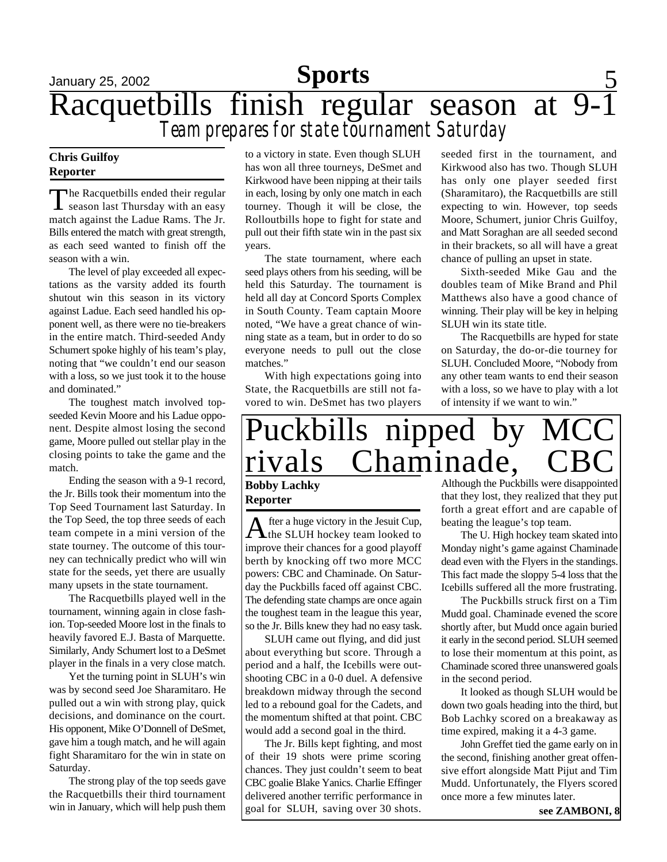## January 25, 2002 **Sports** 5 Racquetbills finish regular season at 9-1 *Team prepares for state tournament Saturday*

#### **Chris Guilfoy Reporter**

The Racquetbills ended their regular<br>season last Thursday with an easy The Racquetbills ended their regular match against the Ladue Rams. The Jr. Bills entered the match with great strength, as each seed wanted to finish off the season with a win.

The level of play exceeded all expectations as the varsity added its fourth shutout win this season in its victory against Ladue. Each seed handled his opponent well, as there were no tie-breakers in the entire match. Third-seeded Andy Schumert spoke highly of his team's play, noting that "we couldn't end our season with a loss, so we just took it to the house and dominated."

The toughest match involved topseeded Kevin Moore and his Ladue opponent. Despite almost losing the second game, Moore pulled out stellar play in the closing points to take the game and the match.

Ending the season with a 9-1 record, the Jr. Bills took their momentum into the Top Seed Tournament last Saturday. In the Top Seed, the top three seeds of each team compete in a mini version of the state tourney. The outcome of this tourney can technically predict who will win state for the seeds, yet there are usually many upsets in the state tournament.

The Racquetbills played well in the tournament, winning again in close fashion. Top-seeded Moore lost in the finals to heavily favored E.J. Basta of Marquette. Similarly, Andy Schumert lost to a DeSmet player in the finals in a very close match.

Yet the turning point in SLUH's win was by second seed Joe Sharamitaro. He pulled out a win with strong play, quick decisions, and dominance on the court. His opponent, Mike O'Donnell of DeSmet, gave him a tough match, and he will again fight Sharamitaro for the win in state on Saturday.

The strong play of the top seeds gave the Racquetbills their third tournament win in January, which will help push them

to a victory in state. Even though SLUH has won all three tourneys, DeSmet and Kirkwood have been nipping at their tails in each, losing by only one match in each tourney. Though it will be close, the Rolloutbills hope to fight for state and pull out their fifth state win in the past six years.

The state tournament, where each seed plays others from his seeding, will be held this Saturday. The tournament is held all day at Concord Sports Complex in South County. Team captain Moore noted, "We have a great chance of winning state as a team, but in order to do so everyone needs to pull out the close matches."

With high expectations going into State, the Racquetbills are still not favored to win. DeSmet has two players

seeded first in the tournament, and Kirkwood also has two. Though SLUH has only one player seeded first (Sharamitaro), the Racquetbills are still expecting to win. However, top seeds Moore, Schumert, junior Chris Guilfoy, and Matt Soraghan are all seeded second in their brackets, so all will have a great chance of pulling an upset in state.

Sixth-seeded Mike Gau and the doubles team of Mike Brand and Phil Matthews also have a good chance of winning. Their play will be key in helping SLUH win its state title.

The Racquetbills are hyped for state on Saturday, the do-or-die tourney for SLUH. Concluded Moore, "Nobody from any other team wants to end their season with a loss, so we have to play with a lot of intensity if we want to win."

## Puckbills nipped by rivals Chaminade,

#### **Bobby Lachky Reporter**

A fter a huge victory in the Jesuit Cup,<br>the SLUH hockey team looked to fter a huge victory in the Jesuit Cup, improve their chances for a good playoff berth by knocking off two more MCC powers: CBC and Chaminade. On Saturday the Puckbills faced off against CBC. The defending state champs are once again the toughest team in the league this year, so the Jr. Bills knew they had no easy task.

SLUH came out flying, and did just about everything but score. Through a period and a half, the Icebills were outshooting CBC in a 0-0 duel. A defensive breakdown midway through the second led to a rebound goal for the Cadets, and the momentum shifted at that point. CBC would add a second goal in the third.

The Jr. Bills kept fighting, and most of their 19 shots were prime scoring chances. They just couldn't seem to beat CBC goalie Blake Yanics. Charlie Effinger delivered another terrific performance in goal for SLUH, saving over 30 shots.

Although the Puckbills were disappointed that they lost, they realized that they put forth a great effort and are capable of beating the league's top team.

The U. High hockey team skated into Monday night's game against Chaminade dead even with the Flyers in the standings. This fact made the sloppy 5-4 loss that the Icebills suffered all the more frustrating.

The Puckbills struck first on a Tim Mudd goal. Chaminade evened the score shortly after, but Mudd once again buried it early in the second period. SLUH seemed to lose their momentum at this point, as Chaminade scored three unanswered goals in the second period.

It looked as though SLUH would be down two goals heading into the third, but Bob Lachky scored on a breakaway as time expired, making it a 4-3 game.

John Greffet tied the game early on in the second, finishing another great offensive effort alongside Matt Pijut and Tim Mudd. Unfortunately, the Flyers scored once more a few minutes later.

**see ZAMBONI, 8**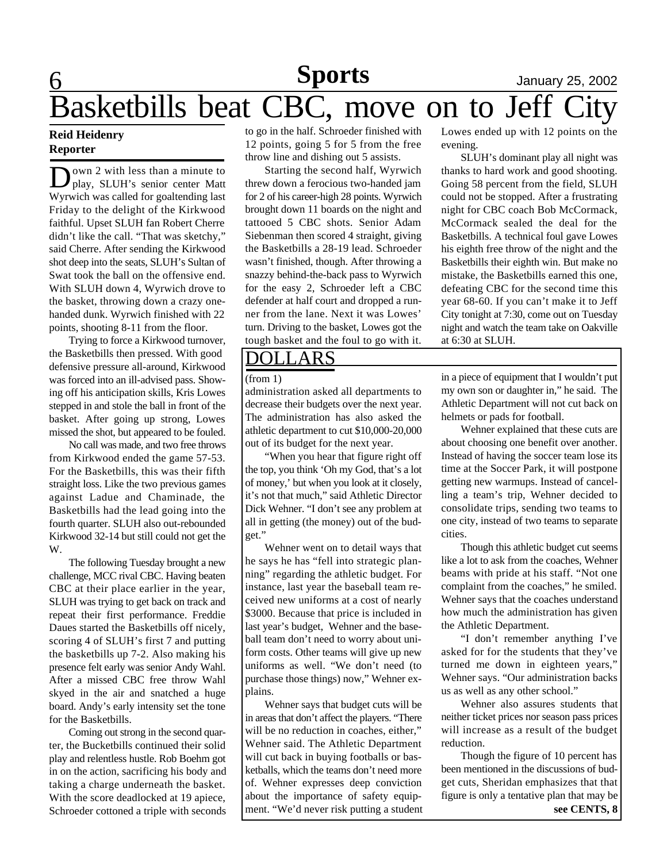## 6 **Sports** January 25, 2002 Basketbills beat CBC, move on to Jeff City

#### **Reid Heidenry Reporter**

Down 2 with less than a minute to<br>play, SLUH's senior center Matt own 2 with less than a minute to Wyrwich was called for goaltending last Friday to the delight of the Kirkwood faithful. Upset SLUH fan Robert Cherre didn't like the call. "That was sketchy," said Cherre. After sending the Kirkwood shot deep into the seats, SLUH's Sultan of Swat took the ball on the offensive end. With SLUH down 4, Wyrwich drove to the basket, throwing down a crazy onehanded dunk. Wyrwich finished with 22 points, shooting 8-11 from the floor.

Trying to force a Kirkwood turnover, the Basketbills then pressed. With good defensive pressure all-around, Kirkwood was forced into an ill-advised pass. Showing off his anticipation skills, Kris Lowes stepped in and stole the ball in front of the basket. After going up strong, Lowes missed the shot, but appeared to be fouled.

No call was made, and two free throws from Kirkwood ended the game 57-53. For the Basketbills, this was their fifth straight loss. Like the two previous games against Ladue and Chaminade, the Basketbills had the lead going into the fourth quarter. SLUH also out-rebounded Kirkwood 32-14 but still could not get the W.

The following Tuesday brought a new challenge, MCC rival CBC. Having beaten CBC at their place earlier in the year, SLUH was trying to get back on track and repeat their first performance. Freddie Daues started the Basketbills off nicely, scoring 4 of SLUH's first 7 and putting the basketbills up 7-2. Also making his presence felt early was senior Andy Wahl. After a missed CBC free throw Wahl skyed in the air and snatched a huge board. Andy's early intensity set the tone for the Basketbills.

Coming out strong in the second quarter, the Bucketbills continued their solid play and relentless hustle. Rob Boehm got in on the action, sacrificing his body and taking a charge underneath the basket. With the score deadlocked at 19 apiece, Schroeder cottoned a triple with seconds

to go in the half. Schroeder finished with 12 points, going 5 for 5 from the free throw line and dishing out 5 assists.

Starting the second half, Wyrwich threw down a ferocious two-handed jam for 2 of his career-high 28 points. Wyrwich brought down 11 boards on the night and tattooed 5 CBC shots. Senior Adam Siebenman then scored 4 straight, giving the Basketbills a 28-19 lead. Schroeder wasn't finished, though. After throwing a snazzy behind-the-back pass to Wyrwich for the easy 2, Schroeder left a CBC defender at half court and dropped a runner from the lane. Next it was Lowes' turn. Driving to the basket, Lowes got the tough basket and the foul to go with it.

### DOLLARS

administration asked all departments to decrease their budgets over the next year. The administration has also asked the athletic department to cut \$10,000-20,000 out of its budget for the next year.

"When you hear that figure right off the top, you think 'Oh my God, that's a lot of money,' but when you look at it closely, it's not that much," said Athletic Director Dick Wehner. "I don't see any problem at all in getting (the money) out of the budget."

Wehner went on to detail ways that he says he has "fell into strategic planning" regarding the athletic budget. For instance, last year the baseball team received new uniforms at a cost of nearly \$3000. Because that price is included in last year's budget, Wehner and the baseball team don't need to worry about uniform costs. Other teams will give up new uniforms as well. "We don't need (to purchase those things) now," Wehner explains.

Wehner says that budget cuts will be in areas that don't affect the players. "There will be no reduction in coaches, either," Wehner said. The Athletic Department will cut back in buying footballs or basketballs, which the teams don't need more of. Wehner expresses deep conviction about the importance of safety equipment. "We'd never risk putting a student Lowes ended up with 12 points on the evening.

SLUH's dominant play all night was thanks to hard work and good shooting. Going 58 percent from the field, SLUH could not be stopped. After a frustrating night for CBC coach Bob McCormack, McCormack sealed the deal for the Basketbills. A technical foul gave Lowes his eighth free throw of the night and the Basketbills their eighth win. But make no mistake, the Basketbills earned this one, defeating CBC for the second time this year 68-60. If you can't make it to Jeff City tonight at 7:30, come out on Tuesday night and watch the team take on Oakville at 6:30 at SLUH.

(from 1) in a piece of equipment that I wouldn't put my own son or daughter in," he said. The Athletic Department will not cut back on helmets or pads for football.

> Wehner explained that these cuts are about choosing one benefit over another. Instead of having the soccer team lose its time at the Soccer Park, it will postpone getting new warmups. Instead of cancelling a team's trip, Wehner decided to consolidate trips, sending two teams to one city, instead of two teams to separate cities.

> Though this athletic budget cut seems like a lot to ask from the coaches, Wehner beams with pride at his staff. "Not one complaint from the coaches," he smiled. Wehner says that the coaches understand how much the administration has given the Athletic Department.

> "I don't remember anything I've asked for for the students that they've turned me down in eighteen years," Wehner says. "Our administration backs us as well as any other school."

> Wehner also assures students that neither ticket prices nor season pass prices will increase as a result of the budget reduction.

> Though the figure of 10 percent has been mentioned in the discussions of budget cuts, Sheridan emphasizes that that figure is only a tentative plan that may be **see CENTS, 8**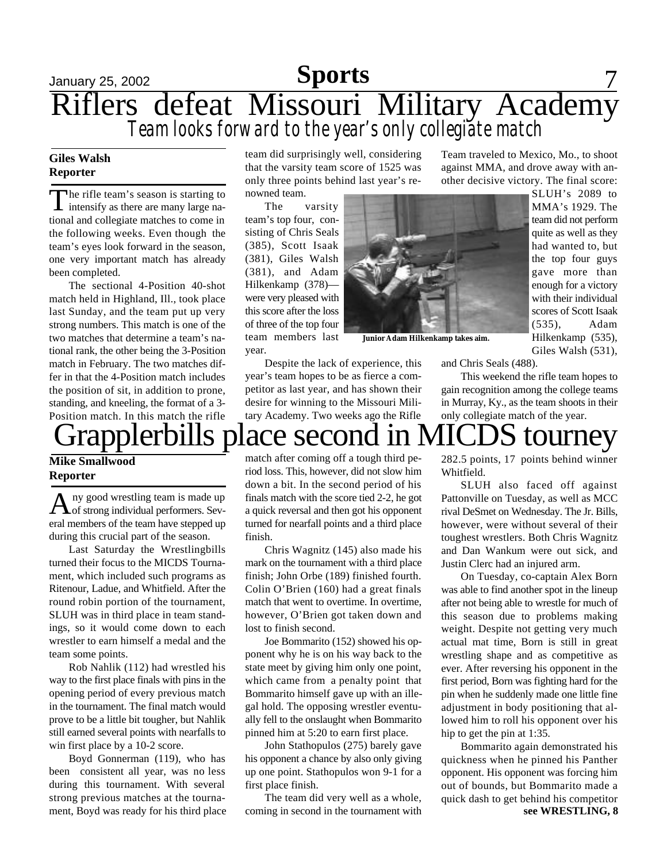## January 25, 2002 **Sports** 7 Riflers defeat Missouri Military Academy *Team looks forward to the year's only collegiate match*

#### **Giles Walsh Reporter**

The rifle team's season is starting to<br>intensify as there are many large nahe rifle team's season is starting to tional and collegiate matches to come in the following weeks. Even though the team's eyes look forward in the season, one very important match has already been completed.

The sectional 4-Position 40-shot match held in Highland, Ill., took place last Sunday, and the team put up very strong numbers. This match is one of the two matches that determine a team's national rank, the other being the 3-Position match in February. The two matches differ in that the 4-Position match includes the position of sit, in addition to prone, standing, and kneeling, the format of a 3- Position match. In this match the rifle

team did surprisingly well, considering that the varsity team score of 1525 was only three points behind last year's renowned team.

The varsity team's top four, consisting of Chris Seals (385), Scott Isaak (381), Giles Walsh (381), and Adam Hilkenkamp (378) were very pleased with this score after the loss of three of the top four team members last year.



**Junior Adam Hilkenkamp takes aim.**

Despite the lack of experience, this year's team hopes to be as fierce a competitor as last year, and has shown their desire for winning to the Missouri Military Academy. Two weeks ago the Rifle

Hilkenkamp (535), Giles Walsh (531),

and Chris Seals (488).

This weekend the rifle team hopes to gain recognition among the college teams in Murray, Ky., as the team shoots in their only collegiate match of the year.

Team traveled to Mexico, Mo., to shoot against MMA, and drove away with another decisive victory. The final score:

> SLUH's 2089 to MMA's 1929. The team did not perform quite as well as they had wanted to, but the top four guys gave more than enough for a victory with their individual scores of Scott Isaak (535), Adam

## ls place second in MICDS tourne

**Mike Smallwood Reporter**

A ny good wrestling team is made up<br>of strong individual performers. Sevny good wrestling team is made up eral members of the team have stepped up during this crucial part of the season.

Last Saturday the Wrestlingbills turned their focus to the MICDS Tournament, which included such programs as Ritenour, Ladue, and Whitfield. After the round robin portion of the tournament, SLUH was in third place in team standings, so it would come down to each wrestler to earn himself a medal and the team some points.

Rob Nahlik (112) had wrestled his way to the first place finals with pins in the opening period of every previous match in the tournament. The final match would prove to be a little bit tougher, but Nahlik still earned several points with nearfalls to win first place by a 10-2 score.

Boyd Gonnerman (119), who has been consistent all year, was no less during this tournament. With several strong previous matches at the tournament, Boyd was ready for his third place match after coming off a tough third period loss. This, however, did not slow him down a bit. In the second period of his finals match with the score tied 2-2, he got a quick reversal and then got his opponent turned for nearfall points and a third place finish.

Chris Wagnitz (145) also made his mark on the tournament with a third place finish; John Orbe (189) finished fourth. Colin O'Brien (160) had a great finals match that went to overtime. In overtime, however, O'Brien got taken down and lost to finish second.

Joe Bommarito (152) showed his opponent why he is on his way back to the state meet by giving him only one point, which came from a penalty point that Bommarito himself gave up with an illegal hold. The opposing wrestler eventually fell to the onslaught when Bommarito pinned him at 5:20 to earn first place.

John Stathopulos (275) barely gave his opponent a chance by also only giving up one point. Stathopulos won 9-1 for a first place finish.

The team did very well as a whole, coming in second in the tournament with 282.5 points, 17 points behind winner Whitfield.

SLUH also faced off against Pattonville on Tuesday, as well as MCC rival DeSmet on Wednesday. The Jr. Bills, however, were without several of their toughest wrestlers. Both Chris Wagnitz and Dan Wankum were out sick, and Justin Clerc had an injured arm.

On Tuesday, co-captain Alex Born was able to find another spot in the lineup after not being able to wrestle for much of this season due to problems making weight. Despite not getting very much actual mat time, Born is still in great wrestling shape and as competitive as ever. After reversing his opponent in the first period, Born was fighting hard for the pin when he suddenly made one little fine adjustment in body positioning that allowed him to roll his opponent over his hip to get the pin at 1:35.

Bommarito again demonstrated his quickness when he pinned his Panther opponent. His opponent was forcing him out of bounds, but Bommarito made a quick dash to get behind his competitor **see WRESTLING, 8**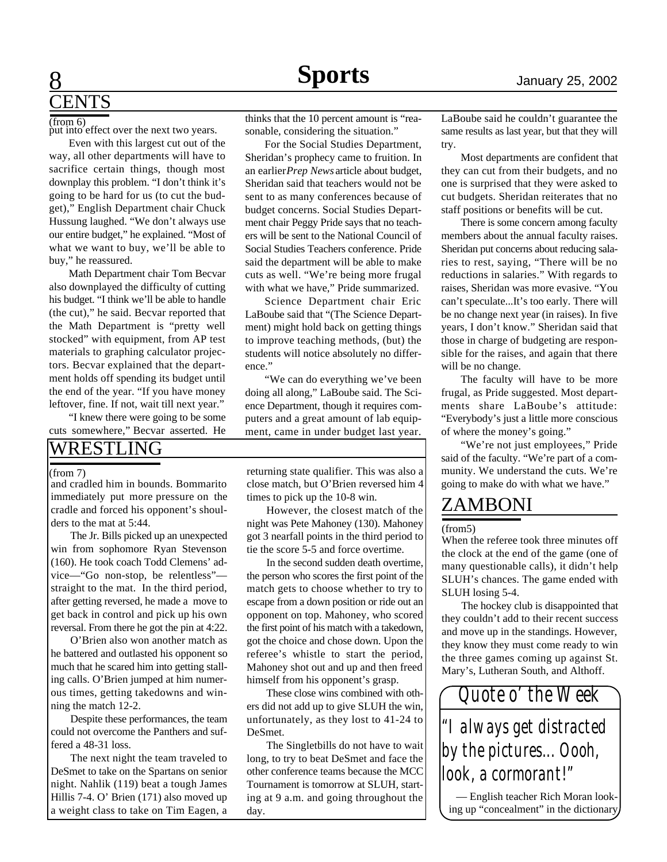# **ENTS**

(from 6)

put into effect over the next two years.

Even with this largest cut out of the way, all other departments will have to sacrifice certain things, though most downplay this problem. "I don't think it's going to be hard for us (to cut the budget)," English Department chair Chuck Hussung laughed. "We don't always use our entire budget," he explained. "Most of what we want to buy, we'll be able to buy," he reassured.

Math Department chair Tom Becvar also downplayed the difficulty of cutting his budget. "I think we'll be able to handle (the cut)," he said. Becvar reported that the Math Department is "pretty well stocked" with equipment, from AP test materials to graphing calculator projectors. Becvar explained that the department holds off spending its budget until the end of the year. "If you have money leftover, fine. If not, wait till next year."

"I knew there were going to be some cuts somewhere," Becvar asserted. He

### WRESTLING

#### (from 7)

and cradled him in bounds. Bommarito immediately put more pressure on the cradle and forced his opponent's shoulders to the mat at 5:44.

The Jr. Bills picked up an unexpected win from sophomore Ryan Stevenson (160). He took coach Todd Clemens' advice—"Go non-stop, be relentless" straight to the mat. In the third period, after getting reversed, he made a move to get back in control and pick up his own reversal. From there he got the pin at 4:22.

O'Brien also won another match as he battered and outlasted his opponent so much that he scared him into getting stalling calls. O'Brien jumped at him numerous times, getting takedowns and winning the match 12-2.

Despite these performances, the team could not overcome the Panthers and suffered a 48-31 loss.

The next night the team traveled to DeSmet to take on the Spartans on senior night. Nahlik (119) beat a tough James Hillis 7-4. O' Brien (171) also moved up a weight class to take on Tim Eagen, a

thinks that the 10 percent amount is "reasonable, considering the situation."

For the Social Studies Department, Sheridan's prophecy came to fruition. In an earlier *Prep News* article about budget, Sheridan said that teachers would not be sent to as many conferences because of budget concerns. Social Studies Department chair Peggy Pride says that no teachers will be sent to the National Council of Social Studies Teachers conference. Pride said the department will be able to make cuts as well. "We're being more frugal with what we have," Pride summarized.

Science Department chair Eric LaBoube said that "(The Science Department) might hold back on getting things to improve teaching methods, (but) the students will notice absolutely no difference."

"We can do everything we've been doing all along," LaBoube said. The Science Department, though it requires computers and a great amount of lab equipment, came in under budget last year.

returning state qualifier. This was also a close match, but O'Brien reversed him 4 times to pick up the 10-8 win.

However, the closest match of the night was Pete Mahoney (130). Mahoney got 3 nearfall points in the third period to tie the score 5-5 and force overtime.

In the second sudden death overtime, the person who scores the first point of the match gets to choose whether to try to escape from a down position or ride out an opponent on top. Mahoney, who scored the first point of his match with a takedown, got the choice and chose down. Upon the referee's whistle to start the period, Mahoney shot out and up and then freed himself from his opponent's grasp.

These close wins combined with others did not add up to give SLUH the win, unfortunately, as they lost to 41-24 to DeSmet.

The Singletbills do not have to wait long, to try to beat DeSmet and face the other conference teams because the MCC Tournament is tomorrow at SLUH, starting at 9 a.m. and going throughout the day.

LaBoube said he couldn't guarantee the same results as last year, but that they will try.

Most departments are confident that they can cut from their budgets, and no one is surprised that they were asked to cut budgets. Sheridan reiterates that no staff positions or benefits will be cut.

There is some concern among faculty members about the annual faculty raises. Sheridan put concerns about reducing salaries to rest, saying, "There will be no reductions in salaries." With regards to raises, Sheridan was more evasive. "You can't speculate...It's too early. There will be no change next year (in raises). In five years, I don't know." Sheridan said that those in charge of budgeting are responsible for the raises, and again that there will be no change.

The faculty will have to be more frugal, as Pride suggested. Most departments share LaBoube's attitude: "Everybody's just a little more conscious of where the money's going."

"We're not just employees," Pride said of the faculty. "We're part of a community. We understand the cuts. We're going to make do with what we have."

## ZAMBONI

#### (from5)

When the referee took three minutes off the clock at the end of the game (one of many questionable calls), it didn't help SLUH's chances. The game ended with SLUH losing 5-4.

The hockey club is disappointed that they couldn't add to their recent success and move up in the standings. However, they know they must come ready to win the three games coming up against St. Mary's, Lutheran South, and Althoff.



— English teacher Rich Moran looking up "concealment" in the dictionary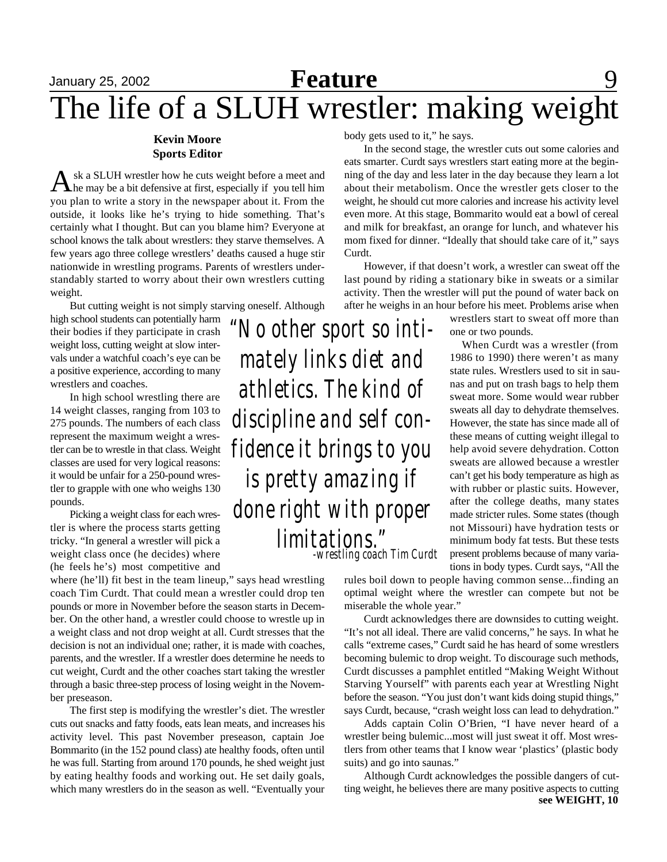#### **Kevin Moore Sports Editor**

Ask a SLUH wrestler how he cuts weight before a meet and the may be a bit defensive at first, especially if you tell him sk a SLUH wrestler how he cuts weight before a meet and you plan to write a story in the newspaper about it. From the outside, it looks like he's trying to hide something. That's certainly what I thought. But can you blame him? Everyone at school knows the talk about wrestlers: they starve themselves. A few years ago three college wrestlers' deaths caused a huge stir nationwide in wrestling programs. Parents of wrestlers understandably started to worry about their own wrestlers cutting weight.

But cutting weight is not simply starving oneself. Although

high school students can potentially harm their bodies if they participate in crash weight loss, cutting weight at slow intervals under a watchful coach's eye can be a positive experience, according to many wrestlers and coaches.

In high school wrestling there are 14 weight classes, ranging from 103 to 275 pounds. The numbers of each class represent the maximum weight a wrestler can be to wrestle in that class. Weight classes are used for very logical reasons: it would be unfair for a 250-pound wrestler to grapple with one who weighs 130 pounds.

Picking a weight class for each wrestler is where the process starts getting tricky. "In general a wrestler will pick a weight class once (he decides) where (he feels he's) most competitive and

where (he'll) fit best in the team lineup," says head wrestling coach Tim Curdt. That could mean a wrestler could drop ten pounds or more in November before the season starts in December. On the other hand, a wrestler could choose to wrestle up in a weight class and not drop weight at all. Curdt stresses that the decision is not an individual one; rather, it is made with coaches, parents, and the wrestler. If a wrestler does determine he needs to cut weight, Curdt and the other coaches start taking the wrestler through a basic three-step process of losing weight in the November preseason.

The first step is modifying the wrestler's diet. The wrestler cuts out snacks and fatty foods, eats lean meats, and increases his activity level. This past November preseason, captain Joe Bommarito (in the 152 pound class) ate healthy foods, often until he was full. Starting from around 170 pounds, he shed weight just by eating healthy foods and working out. He set daily goals, which many wrestlers do in the season as well. "Eventually your

body gets used to it," he says.

In the second stage, the wrestler cuts out some calories and eats smarter. Curdt says wrestlers start eating more at the beginning of the day and less later in the day because they learn a lot about their metabolism. Once the wrestler gets closer to the weight, he should cut more calories and increase his activity level even more. At this stage, Bommarito would eat a bowl of cereal and milk for breakfast, an orange for lunch, and whatever his mom fixed for dinner. "Ideally that should take care of it," says Curdt.

However, if that doesn't work, a wrestler can sweat off the last pound by riding a stationary bike in sweats or a similar activity. Then the wrestler will put the pound of water back on after he weighs in an hour before his meet. Problems arise when

*"No other sport so intimately links diet and athletics. The kind of discipline and self confidence it brings to you is pretty amazing if done right with proper limitations." -wrestling coach Tim Curdt*

wrestlers start to sweat off more than one or two pounds.

When Curdt was a wrestler (from 1986 to 1990) there weren't as many state rules. Wrestlers used to sit in saunas and put on trash bags to help them sweat more. Some would wear rubber sweats all day to dehydrate themselves. However, the state has since made all of these means of cutting weight illegal to help avoid severe dehydration. Cotton sweats are allowed because a wrestler can't get his body temperature as high as with rubber or plastic suits. However, after the college deaths, many states made stricter rules. Some states (though not Missouri) have hydration tests or minimum body fat tests. But these tests present problems because of many variations in body types. Curdt says, "All the

rules boil down to people having common sense...finding an optimal weight where the wrestler can compete but not be miserable the whole year."

Curdt acknowledges there are downsides to cutting weight. "It's not all ideal. There are valid concerns," he says. In what he calls "extreme cases," Curdt said he has heard of some wrestlers becoming bulemic to drop weight. To discourage such methods, Curdt discusses a pamphlet entitled "Making Weight Without Starving Yourself" with parents each year at Wrestling Night before the season. "You just don't want kids doing stupid things," says Curdt, because, "crash weight loss can lead to dehydration."

Adds captain Colin O'Brien, "I have never heard of a wrestler being bulemic...most will just sweat it off. Most wrestlers from other teams that I know wear 'plastics' (plastic body suits) and go into saunas."

Although Curdt acknowledges the possible dangers of cutting weight, he believes there are many positive aspects to cutting **see WEIGHT, 10**